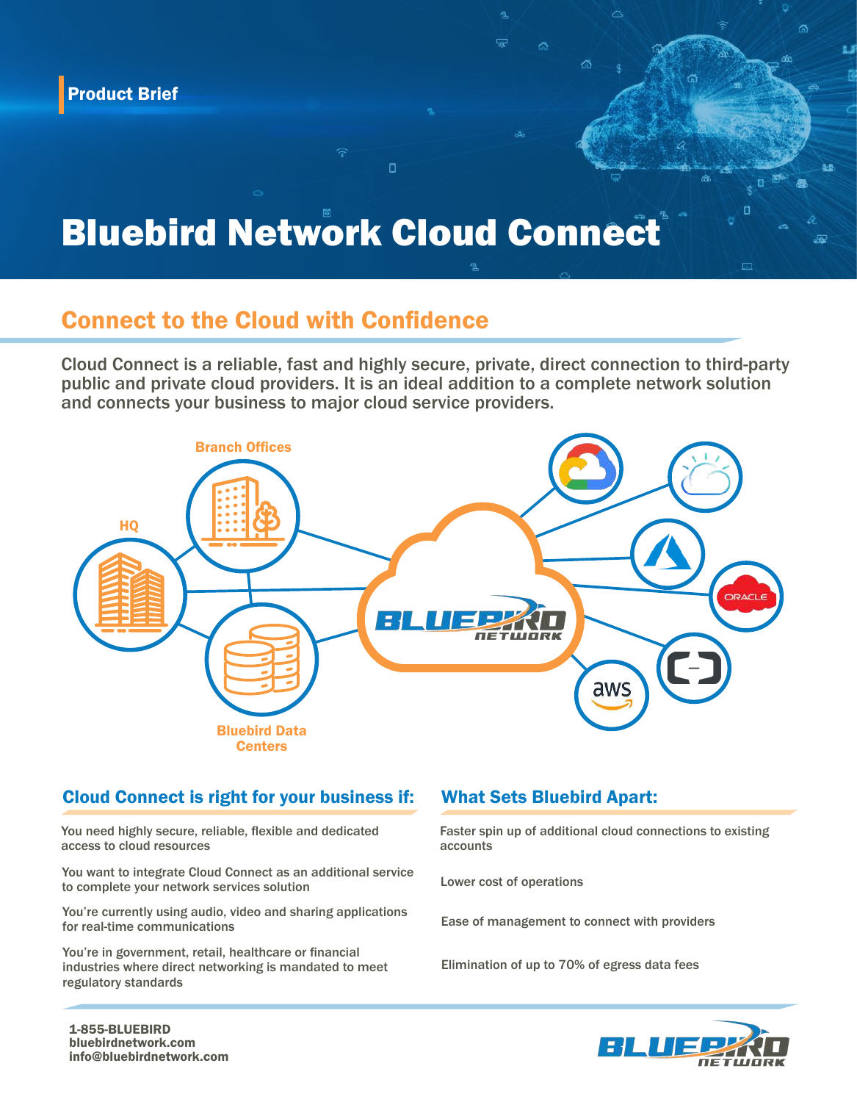# Bluebird Network Cloud Connect

O

## Connect to the Cloud with Confidence

Cloud Connect is a reliable, fast and highly secure, private, direct connection to third-party public and private cloud providers. It is an ideal addition to a complete network solution and connects your business to major cloud service providers.



#### Cloud Connect is right for your business if:

You need highly secure, reliable, flexible and dedicated access to cloud resources

You want to integrate Cloud Connect as an additional service to complete your network services solution

You're currently using audio, video and sharing applications for real-time communications

You're in government, retail, healthcare or financial industries where direct networking is mandated to meet regulatory standards

### What Sets Bluebird Apart:

Faster spin up of additional cloud connections to existing accounts

Lower cost of operations

Ease of management to connect with providers

Elimination of up to 70% of egress data fees



配盘

冖